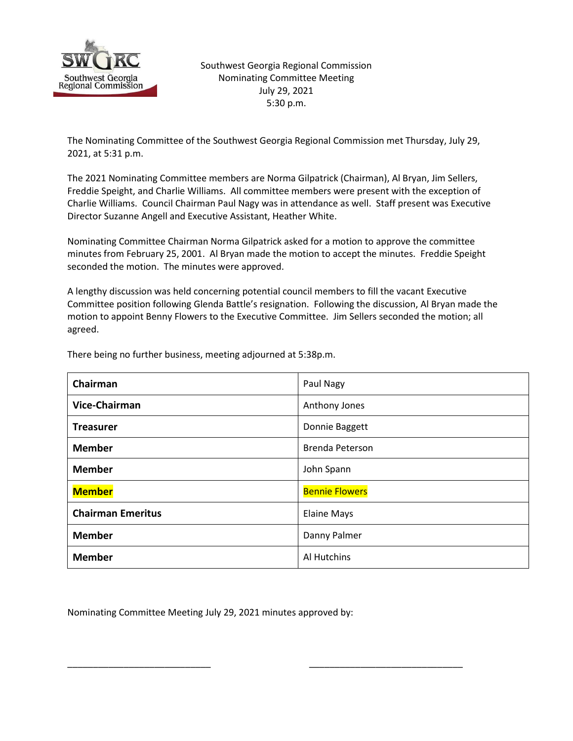

Southwest Georgia Regional Commission Nominating Committee Meeting July 29, 2021 5:30 p.m.

The Nominating Committee of the Southwest Georgia Regional Commission met Thursday, July 29, 2021, at 5:31 p.m.

The 2021 Nominating Committee members are Norma Gilpatrick (Chairman), Al Bryan, Jim Sellers, Freddie Speight, and Charlie Williams. All committee members were present with the exception of Charlie Williams. Council Chairman Paul Nagy was in attendance as well. Staff present was Executive Director Suzanne Angell and Executive Assistant, Heather White.

Nominating Committee Chairman Norma Gilpatrick asked for a motion to approve the committee minutes from February 25, 2001. Al Bryan made the motion to accept the minutes. Freddie Speight seconded the motion. The minutes were approved.

A lengthy discussion was held concerning potential council members to fill the vacant Executive Committee position following Glenda Battle's resignation. Following the discussion, Al Bryan made the motion to appoint Benny Flowers to the Executive Committee. Jim Sellers seconded the motion; all agreed.

| Chairman                 | Paul Nagy             |
|--------------------------|-----------------------|
| Vice-Chairman            | Anthony Jones         |
| <b>Treasurer</b>         | Donnie Baggett        |
| <b>Member</b>            | Brenda Peterson       |
| <b>Member</b>            | John Spann            |
| <b>Member</b>            | <b>Bennie Flowers</b> |
| <b>Chairman Emeritus</b> | <b>Elaine Mays</b>    |
| <b>Member</b>            | Danny Palmer          |
| <b>Member</b>            | Al Hutchins           |

There being no further business, meeting adjourned at 5:38p.m.

Nominating Committee Meeting July 29, 2021 minutes approved by:

\_\_\_\_\_\_\_\_\_\_\_\_\_\_\_\_\_\_\_\_\_\_\_\_\_\_\_\_ \_\_\_\_\_\_\_\_\_\_\_\_\_\_\_\_\_\_\_\_\_\_\_\_\_\_\_\_\_\_